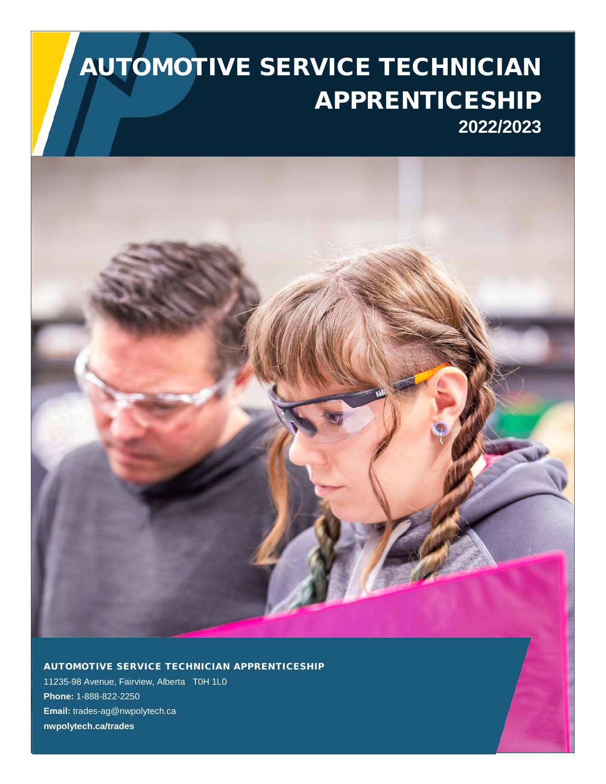# AUTOMOTIVE SERVICE TECHNICIAN APPRENTICESHIP **2022/2023**



AUTOMOTIVE SERVICE TECHNICIAN APPRENTICESHIP

11235-98 Avenue, Fairview, Alberta T0H 1L0 **Phone:** 1-888-822-2250 **Email:** trades-ag@nwpolytech.ca **nwpolytech.ca/trades**